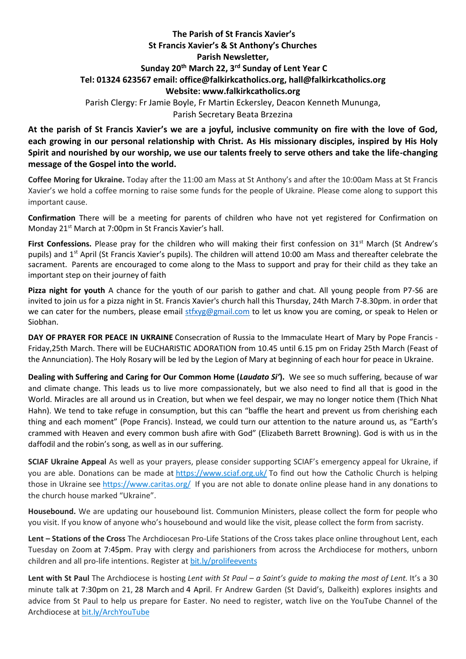## **The Parish of St Francis Xavier's St Francis Xavier's & St Anthony's Churches Parish Newsletter, Sunday 20th March 22, 3 rd Sunday of Lent Year C Tel: 01324 623567 email: office@falkirkcatholics.org, [hall@falkirkcatholics.org](mailto:hall@falkirkcatholics.org) Website: [www.falkirkcatholics.org](http://www.falkirkcatholics.org/)**  Parish Clergy: Fr Jamie Boyle, Fr Martin Eckersley, Deacon Kenneth Mununga, Parish Secretary Beata Brzezina

**At the parish of St Francis Xavier's we are a joyful, inclusive community on fire with the love of God, each growing in our personal relationship with Christ. As His missionary disciples, inspired by His Holy Spirit and nourished by our worship, we use our talents freely to serve others and take the life-changing message of the Gospel into the world.** 

**Coffee Moring for Ukraine.** Today after the 11:00 am Mass at St Anthony's and after the 10:00am Mass at St Francis Xavier's we hold a coffee morning to raise some funds for the people of Ukraine. Please come along to support this important cause.

**Confirmation** There will be a meeting for parents of children who have not yet registered for Confirmation on Monday 21<sup>st</sup> March at 7:00pm in St Francis Xavier's hall.

First Confessions. Please pray for the children who will making their first confession on 31<sup>st</sup> March (St Andrew's pupils) and 1<sup>st</sup> April (St Francis Xavier's pupils). The children will attend 10:00 am Mass and thereafter celebrate the sacrament. Parents are encouraged to come along to the Mass to support and pray for their child as they take an important step on their journey of faith

**Pizza night for youth** A chance for the youth of our parish to gather and chat. All young people from P7-S6 are invited to join us for a pizza night in St. Francis Xavier's church hall this Thursday, 24th March 7-8.30pm. in order that we can cater for the numbers, please email [stfxyg@gmail.com](mailto:stfxyg@gmail.com) to let us know you are coming, or speak to Helen or Siobhan.

**DAY OF PRAYER FOR PEACE IN UKRAINE** Consecration of Russia to the Immaculate Heart of Mary by Pope Francis - Friday,25th March. There will be EUCHARISTIC ADORATION from 10.45 until 6.15 pm on Friday 25th March (Feast of the Annunciation). The Holy Rosary will be led by the Legion of Mary at beginning of each hour for peace in Ukraine.

**Dealing with Suffering and Caring for Our Common Home (***Laudato Si'***).** We see so much suffering, because of war and climate change. This leads us to live more compassionately, but we also need to find all that is good in the World. Miracles are all around us in Creation, but when we feel despair, we may no longer notice them (Thich Nhat Hahn). We tend to take refuge in consumption, but this can "baffle the heart and prevent us from cherishing each thing and each moment" (Pope Francis). Instead, we could turn our attention to the nature around us, as "Earth's crammed with Heaven and every common bush afire with God" (Elizabeth Barrett Browning). God is with us in the daffodil and the robin's song, as well as in our suffering.

**SCIAF Ukraine Appeal** As well as your prayers, please consider supporting SCIAF's emergency appeal for Ukraine, if you are able. Donations can be made at <https://www.sciaf.org.uk/> To find out how the Catholic Church is helping those in Ukraine see <https://www.caritas.org/> If you are not able to donate online please hand in any donations to the church house marked "Ukraine".

**Housebound.** We are updating our housebound list. Communion Ministers, please collect the form for people who you visit. If you know of anyone who's housebound and would like the visit, please collect the form from sacristy.

**Lent – Stations of the Cross** The Archdiocesan Pro-Life Stations of the Cross takes place online throughout Lent, each Tuesday on Zoom at 7:45pm. Pray with clergy and parishioners from across the Archdiocese for mothers, unborn children and all pro-life intentions. Register at [bit.ly/prolifeevents](https://www.eventbrite.co.uk/cc/pro-life-events-150559)

**Lent with St Paul** The Archdiocese is hosting *Lent with St Paul – a Saint's guide to making the most of Lent.* It's a 30 minute talk at 7:30pm on 21, 28 March and 4 April. Fr Andrew Garden (St David's, Dalkeith) explores insights and advice from St Paul to help us prepare for Easter. No need to register, watch live on the YouTube Channel of the Archdiocese at [bit.ly/ArchYouTube](https://www.youtube.com/channel/UCpeWTFr87oQNpdWGgv_G9bw/videos)